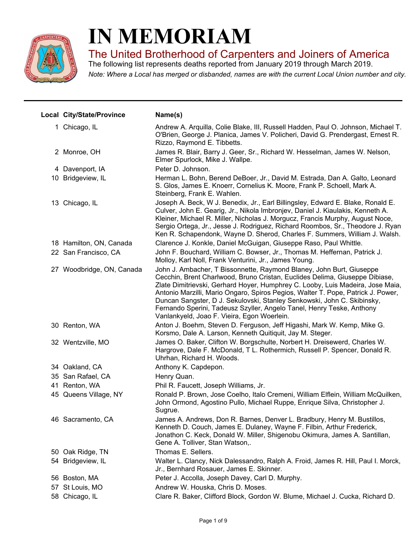

## **IN MEMORIAM**

The United Brotherhood of Carpenters and Joiners of America

*Note: Where a Local has merged or disbanded, names are with the current Local Union number and city.* The following list represents deaths reported from January 2019 through March 2019.

| <b>Local City/State/Province</b> | Name(s)                                                                                                                                                                                                                                                                                                                                                                                                                                                                                                                      |
|----------------------------------|------------------------------------------------------------------------------------------------------------------------------------------------------------------------------------------------------------------------------------------------------------------------------------------------------------------------------------------------------------------------------------------------------------------------------------------------------------------------------------------------------------------------------|
| 1 Chicago, IL                    | Andrew A. Arquilla, Colie Blake, III, Russell Hadden, Paul O. Johnson, Michael T.<br>O'Brien, George J. Planica, James V. Policheri, David G. Prendergast, Ernest R.<br>Rizzo, Raymond E. Tibbetts.                                                                                                                                                                                                                                                                                                                          |
| 2 Monroe, OH                     | James R. Blair, Barry J. Geer, Sr., Richard W. Hesselman, James W. Nelson,<br>Elmer Spurlock, Mike J. Wallpe.                                                                                                                                                                                                                                                                                                                                                                                                                |
| 4 Davenport, IA                  | Peter D. Johnson.                                                                                                                                                                                                                                                                                                                                                                                                                                                                                                            |
| 10 Bridgeview, IL                | Herman L. Bohn, Berend DeBoer, Jr., David M. Estrada, Dan A. Galto, Leonard<br>S. Glos, James E. Knoerr, Cornelius K. Moore, Frank P. Schoell, Mark A.<br>Steinberg, Frank E. Wahlen.                                                                                                                                                                                                                                                                                                                                        |
| 13 Chicago, IL                   | Joseph A. Beck, W J. Benedix, Jr., Earl Billingsley, Edward E. Blake, Ronald E.<br>Culver, John E. Gearig, Jr., Nikola Imbronjev, Daniel J. Kiaulakis, Kenneth A.<br>Kleiner, Michael R. Miller, Nicholas J. Morgucz, Francis Murphy, August Noce,<br>Sergio Ortega, Jr., Jesse J. Rodriguez, Richard Roombos, Sr., Theodore J. Ryan<br>Ken R. Schapendonk, Wayne D. Sherod, Charles F. Summers, William J. Walsh.                                                                                                           |
| 18 Hamilton, ON, Canada          | Clarence J. Konkle, Daniel McGuigan, Giuseppe Raso, Paul Whittle.                                                                                                                                                                                                                                                                                                                                                                                                                                                            |
| 22 San Francisco, CA             | John F. Bouchard, William C. Bowser, Jr., Thomas M. Heffernan, Patrick J.<br>Molloy, Karl Noll, Frank Venturini, Jr., James Young.                                                                                                                                                                                                                                                                                                                                                                                           |
| 27 Woodbridge, ON, Canada        | John J. Ambacher, T Bissonnette, Raymond Blaney, John Burt, Giuseppe<br>Cecchin, Brent Charlwood, Bruno Cristan, Euclides Delima, Giuseppe Dibiase,<br>Zlate Dimitrievski, Gerhard Hoyer, Humphrey C. Looby, Luis Madeira, Jose Maia,<br>Antonio Marzilli, Mario Ongaro, Spiros Pegios, Walter T. Pope, Patrick J. Power,<br>Duncan Sangster, D J. Sekulovski, Stanley Senkowski, John C. Skibinsky,<br>Fernando Sperini, Tadeusz Szyller, Angelo Tanel, Henry Teske, Anthony<br>Vanlankyeld, Joao F. Vieira, Egon Woerlein. |
| 30 Renton, WA                    | Anton J. Boehm, Steven D. Ferguson, Jeff Higashi, Mark W. Kemp, Mike G.<br>Korsmo, Dale A. Larson, Kenneth Quitiquit, Jay M. Steger.                                                                                                                                                                                                                                                                                                                                                                                         |
| 32 Wentzville, MO                | James O. Baker, Clifton W. Borgschulte, Norbert H. Dreisewerd, Charles W.<br>Hargrove, Dale F. McDonald, T L. Rothermich, Russell P. Spencer, Donald R.<br>Uhrhan, Richard H. Woods.                                                                                                                                                                                                                                                                                                                                         |
| 34 Oakland, CA                   | Anthony K. Capdepon.                                                                                                                                                                                                                                                                                                                                                                                                                                                                                                         |
| 35 San Rafael, CA                | Henry Quan.                                                                                                                                                                                                                                                                                                                                                                                                                                                                                                                  |
| 41 Renton, WA                    | Phil R. Faucett, Joseph Williams, Jr.                                                                                                                                                                                                                                                                                                                                                                                                                                                                                        |
| 45 Queens Village, NY            | Ronald P. Brown, Jose Coelho, Italo Cremeni, William Elflein, William McQuilken,<br>John Ormond, Agostino Pullo, Michael Ruppe, Enrique Silva, Christopher J.<br>Sugrue.                                                                                                                                                                                                                                                                                                                                                     |
| 46 Sacramento, CA                | James A. Andrews, Don R. Barnes, Denver L. Bradbury, Henry M. Bustillos,<br>Kenneth D. Couch, James E. Dulaney, Wayne F. Filbin, Arthur Frederick,<br>Jonathon C. Keck, Donald W. Miller, Shigenobu Okimura, James A. Santillan,<br>Gene A. Tolliver, Stan Watson,.                                                                                                                                                                                                                                                          |
| 50 Oak Ridge, TN                 | Thomas E. Sellers.                                                                                                                                                                                                                                                                                                                                                                                                                                                                                                           |
| 54 Bridgeview, IL                | Walter L. Clancy, Nick Dalessandro, Ralph A. Froid, James R. Hill, Paul I. Morck,<br>Jr., Bernhard Rosauer, James E. Skinner.                                                                                                                                                                                                                                                                                                                                                                                                |
| 56 Boston, MA                    | Peter J. Accolla, Joseph Davey, Carl D. Murphy.                                                                                                                                                                                                                                                                                                                                                                                                                                                                              |
| 57 St Louis, MO                  | Andrew W. Houska, Chris D. Moses.                                                                                                                                                                                                                                                                                                                                                                                                                                                                                            |
| 58 Chicago, IL                   | Clare R. Baker, Clifford Block, Gordon W. Blume, Michael J. Cucka, Richard D.                                                                                                                                                                                                                                                                                                                                                                                                                                                |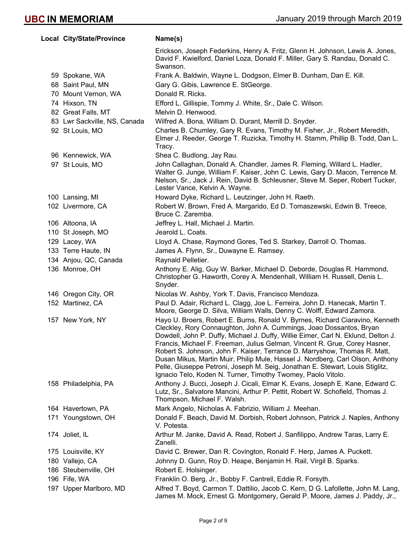| Local City/State/Province    | Name(s)                                                                                                                                                                                                                                                                                                                                                                                                                                                                                                                                                                                                                                 |
|------------------------------|-----------------------------------------------------------------------------------------------------------------------------------------------------------------------------------------------------------------------------------------------------------------------------------------------------------------------------------------------------------------------------------------------------------------------------------------------------------------------------------------------------------------------------------------------------------------------------------------------------------------------------------------|
|                              | Erickson, Joseph Federkins, Henry A. Fritz, Glenn H. Johnson, Lewis A. Jones,<br>David F. Kwielford, Daniel Loza, Donald F. Miller, Gary S. Randau, Donald C.<br>Swanson.                                                                                                                                                                                                                                                                                                                                                                                                                                                               |
| 59 Spokane, WA               | Frank A. Baldwin, Wayne L. Dodgson, Elmer B. Dunham, Dan E. Kill.                                                                                                                                                                                                                                                                                                                                                                                                                                                                                                                                                                       |
| 68 Saint Paul, MN            | Gary G. Gibis, Lawrence E. StGeorge.                                                                                                                                                                                                                                                                                                                                                                                                                                                                                                                                                                                                    |
| 70 Mount Vernon, WA          | Donald R. Ricks.                                                                                                                                                                                                                                                                                                                                                                                                                                                                                                                                                                                                                        |
| 74 Hixson, TN                | Efford L. Gillispie, Tommy J. White, Sr., Dale C. Wilson.                                                                                                                                                                                                                                                                                                                                                                                                                                                                                                                                                                               |
| 82 Great Falls, MT           | Melvin D. Henwood.                                                                                                                                                                                                                                                                                                                                                                                                                                                                                                                                                                                                                      |
| 83 Lwr Sackville, NS, Canada | Wilfred A. Bona, William D. Durant, Merrill D. Snyder.                                                                                                                                                                                                                                                                                                                                                                                                                                                                                                                                                                                  |
| 92 St Louis, MO              | Charles B. Chumley, Gary R. Evans, Timothy M. Fisher, Jr., Robert Meredith,<br>Elmer J. Reeder, George T. Ruzicka, Timothy H. Stamm, Phillip B. Todd, Dan L.<br>Tracy.                                                                                                                                                                                                                                                                                                                                                                                                                                                                  |
| 96 Kennewick, WA             | Shea C. Budlong, Jay Rau.                                                                                                                                                                                                                                                                                                                                                                                                                                                                                                                                                                                                               |
| 97 St Louis, MO              | John Callaghan, Donald A. Chandler, James R. Fleming, Willard L. Hadler,<br>Walter G. Junge, William F. Kaiser, John C. Lewis, Gary D. Macon, Terrence M.<br>Nelson, Sr., Jack J. Rein, David B. Schleusner, Steve M. Seper, Robert Tucker,<br>Lester Vance, Kelvin A. Wayne.                                                                                                                                                                                                                                                                                                                                                           |
| 100 Lansing, MI              | Howard Dyke, Richard L. Leutzinger, John H. Raeth.                                                                                                                                                                                                                                                                                                                                                                                                                                                                                                                                                                                      |
| 102 Livermore, CA            | Robert W. Brown, Fred A. Margarido, Ed D. Tomaszewski, Edwin B. Treece,<br>Bruce C. Zaremba.                                                                                                                                                                                                                                                                                                                                                                                                                                                                                                                                            |
| 106 Altoona, IA              | Jeffrey L. Hall, Michael J. Martin.                                                                                                                                                                                                                                                                                                                                                                                                                                                                                                                                                                                                     |
| 110 St Joseph, MO            | Jearold L. Coats.                                                                                                                                                                                                                                                                                                                                                                                                                                                                                                                                                                                                                       |
| 129 Lacey, WA                | Lloyd A. Chase, Raymond Gores, Ted S. Starkey, Darroll O. Thomas.                                                                                                                                                                                                                                                                                                                                                                                                                                                                                                                                                                       |
| 133 Terre Haute, IN          | James A. Flynn, Sr., Duwayne E. Ramsey.                                                                                                                                                                                                                                                                                                                                                                                                                                                                                                                                                                                                 |
| 134 Anjou, QC, Canada        | Raynald Pelletier.                                                                                                                                                                                                                                                                                                                                                                                                                                                                                                                                                                                                                      |
| 136 Monroe, OH               | Anthony E. Alig, Guy W. Barker, Michael D. Deborde, Douglas R. Hammond,<br>Christopher G. Haworth, Corey A. Mendenhall, William H. Russell, Denis L.<br>Snyder.                                                                                                                                                                                                                                                                                                                                                                                                                                                                         |
| 146 Oregon City, OR          | Nicolas W. Ashby, York T. Davis, Francisco Mendoza.                                                                                                                                                                                                                                                                                                                                                                                                                                                                                                                                                                                     |
| 152 Martinez, CA             | Paul D. Adair, Richard L. Clagg, Joe L. Ferreira, John D. Hanecak, Martin T.<br>Moore, George D. Silva, William Walls, Denny C. Wolff, Edward Zamora.                                                                                                                                                                                                                                                                                                                                                                                                                                                                                   |
| 157 New York, NY             | Hayo U. Broers, Robert E. Burns, Ronald V. Byrnes, Richard Ciaravino, Kenneth<br>Cleckley, Rory Connaughton, John A. Cummings, Joao Dossantos, Bryan<br>Dowdell, John P. Duffy, Michael J. Duffy, Willie Eimer, Carl N. Eklund, Delton J.<br>Francis, Michael F. Freeman, Julius Gelman, Vincent R. Grue, Corey Hasner,<br>Robert S. Johnson, John F. Kaiser, Terrance D. Marryshow, Thomas R. Matt,<br>Dusan Mikus, Martin Muir, Philip Mule, Hassel J. Nordberg, Carl Olson, Anthony<br>Pelle, Giuseppe Petroni, Joseph M. Seig, Jonathan E. Stewart, Louis Stiglitz,<br>Ignacio Telo, Koden N. Turner, Timothy Twomey, Paolo Vitolo. |
| 158 Philadelphia, PA         | Anthony J. Bucci, Joseph J. Cicali, Elmar K. Evans, Joseph E. Kane, Edward C.<br>Lutz, Sr., Salvatore Mancini, Arthur P. Pettit, Robert W. Schofield, Thomas J.<br>Thompson, Michael F. Walsh.                                                                                                                                                                                                                                                                                                                                                                                                                                          |
| 164 Havertown, PA            | Mark Angelo, Nicholas A. Fabrizio, William J. Meehan.                                                                                                                                                                                                                                                                                                                                                                                                                                                                                                                                                                                   |
| 171 Youngstown, OH           | Donald F. Beach, David M. Dorbish, Robert Johnson, Patrick J. Naples, Anthony<br>V. Potesta.                                                                                                                                                                                                                                                                                                                                                                                                                                                                                                                                            |
| 174 Joliet, IL               | Arthur M. Janke, David A. Read, Robert J. Sanfilippo, Andrew Taras, Larry E.<br>Zanelli.                                                                                                                                                                                                                                                                                                                                                                                                                                                                                                                                                |
| 175 Louisville, KY           | David C. Brewer, Dan R. Covington, Ronald F. Herp, James A. Puckett.                                                                                                                                                                                                                                                                                                                                                                                                                                                                                                                                                                    |
| 180 Vallejo, CA              | Johnny D. Gunn, Roy D. Heape, Benjamin H. Rail, Virgil B. Sparks.                                                                                                                                                                                                                                                                                                                                                                                                                                                                                                                                                                       |
| 186 Steubenville, OH         | Robert E. Holsinger.                                                                                                                                                                                                                                                                                                                                                                                                                                                                                                                                                                                                                    |
| 196 Fife, WA                 | Franklin O. Berg, Jr., Bobby F. Cantrell, Eddie R. Forsyth.                                                                                                                                                                                                                                                                                                                                                                                                                                                                                                                                                                             |
| 197 Upper Marlboro, MD       | Alfred T. Boyd, Carmon T. Dattilio, Jacob C. Kern, D G. Lafollette, John M. Lang,<br>James M. Mock, Ernest G. Montgomery, Gerald P. Moore, James J. Paddy, Jr.,                                                                                                                                                                                                                                                                                                                                                                                                                                                                         |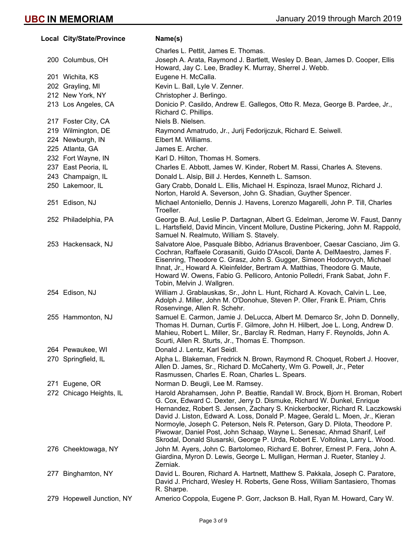|     | Local City/State/Province | Name(s)                                                                                                                                                                                                                                                                                                                                                                                                                                                                                                                                                              |
|-----|---------------------------|----------------------------------------------------------------------------------------------------------------------------------------------------------------------------------------------------------------------------------------------------------------------------------------------------------------------------------------------------------------------------------------------------------------------------------------------------------------------------------------------------------------------------------------------------------------------|
|     |                           | Charles L. Pettit, James E. Thomas.                                                                                                                                                                                                                                                                                                                                                                                                                                                                                                                                  |
|     | 200 Columbus, OH          | Joseph A. Arata, Raymond J. Bartlett, Wesley D. Bean, James D. Cooper, Ellis<br>Howard, Jay C. Lee, Bradley K. Murray, Sherrel J. Webb.                                                                                                                                                                                                                                                                                                                                                                                                                              |
|     | 201 Wichita, KS           | Eugene H. McCalla.                                                                                                                                                                                                                                                                                                                                                                                                                                                                                                                                                   |
|     | 202 Grayling, MI          | Kevin L. Ball, Lyle V. Zenner.                                                                                                                                                                                                                                                                                                                                                                                                                                                                                                                                       |
|     | 212 New York, NY          | Christopher J. Berlingo.                                                                                                                                                                                                                                                                                                                                                                                                                                                                                                                                             |
|     | 213 Los Angeles, CA       | Donicio P. Casildo, Andrew E. Gallegos, Otto R. Meza, George B. Pardee, Jr.,<br>Richard C. Phillips.                                                                                                                                                                                                                                                                                                                                                                                                                                                                 |
|     | 217 Foster City, CA       | Niels B. Nielsen.                                                                                                                                                                                                                                                                                                                                                                                                                                                                                                                                                    |
|     | 219 Wilmington, DE        | Raymond Amatrudo, Jr., Jurij Fedorijczuk, Richard E. Seiwell.                                                                                                                                                                                                                                                                                                                                                                                                                                                                                                        |
|     | 224 Newburgh, IN          | Elbert M. Williams.                                                                                                                                                                                                                                                                                                                                                                                                                                                                                                                                                  |
|     | 225 Atlanta, GA           | James E. Archer.                                                                                                                                                                                                                                                                                                                                                                                                                                                                                                                                                     |
|     | 232 Fort Wayne, IN        | Karl D. Hilton, Thomas H. Somers.                                                                                                                                                                                                                                                                                                                                                                                                                                                                                                                                    |
|     | 237 East Peoria, IL       | Charles E. Abbott, James W. Kinder, Robert M. Rassi, Charles A. Stevens.                                                                                                                                                                                                                                                                                                                                                                                                                                                                                             |
|     | 243 Champaign, IL         | Donald L. Alsip, Bill J. Herdes, Kenneth L. Samson.                                                                                                                                                                                                                                                                                                                                                                                                                                                                                                                  |
|     | 250 Lakemoor, IL          | Gary Crabb, Donald L. Ellis, Michael H. Espinoza, Israel Munoz, Richard J.<br>Norton, Harold A. Severson, John G. Shadian, Guyther Spencer.                                                                                                                                                                                                                                                                                                                                                                                                                          |
|     | 251 Edison, NJ            | Michael Antoniello, Dennis J. Havens, Lorenzo Magarelli, John P. Till, Charles<br>Troeller.                                                                                                                                                                                                                                                                                                                                                                                                                                                                          |
|     | 252 Philadelphia, PA      | George B. Aul, Leslie P. Dartagnan, Albert G. Edelman, Jerome W. Faust, Danny<br>L. Hartsfield, David Mincin, Vincent Mollure, Dustine Pickering, John M. Rappold,<br>Samuel N. Realmuto, William S. Stavely.                                                                                                                                                                                                                                                                                                                                                        |
|     | 253 Hackensack, NJ        | Salvatore Aloe, Pasquale Bibbo, Adrianus Bravenboer, Caesar Casciano, Jim G.<br>Cochran, Raffaele Corasaniti, Guido D'Ascoli, Dante A. DelMaestro, James F.<br>Eisenring, Theodore C. Grasz, John S. Gugger, Simeon Hodorovych, Michael<br>Ihnat, Jr., Howard A. Kleinfelder, Bertram A. Matthias, Theodore G. Maute,<br>Howard W. Owens, Fabio G. Pellicoro, Antonio Polledri, Frank Sabat, John F.<br>Tobin, Melvin J. Wallgren.                                                                                                                                   |
|     | 254 Edison, NJ            | William J. Grablauskas, Sr., John L. Hunt, Richard A. Kovach, Calvin L. Lee,<br>Adolph J. Miller, John M. O'Donohue, Steven P. Oller, Frank E. Priam, Chris<br>Rosenvinge, Allen R. Schehr.                                                                                                                                                                                                                                                                                                                                                                          |
|     | 255 Hammonton, NJ         | Samuel E. Carmon, Jamie J. DeLucca, Albert M. Demarco Sr, John D. Donnelly,<br>Thomas H. Durnan, Curtis F. Gilmore, John H. Hilbert, Joe L. Long, Andrew D.<br>Mahieu, Robert L. Miller, Sr., Barclay R. Redman, Harry F. Reynolds, John A.<br>Scurti, Allen R. Sturts, Jr., Thomas E. Thompson.                                                                                                                                                                                                                                                                     |
|     | 264 Pewaukee, WI          | Donald J. Lentz, Karl Seidl.                                                                                                                                                                                                                                                                                                                                                                                                                                                                                                                                         |
|     | 270 Springfield, IL       | Alpha L. Blakeman, Fredrick N. Brown, Raymond R. Choquet, Robert J. Hoover,<br>Allen D. James, Sr., Richard D. McCaherty, Wm G. Powell, Jr., Peter<br>Rasmussen, Charles E. Roan, Charles L. Spears.                                                                                                                                                                                                                                                                                                                                                                 |
|     | 271 Eugene, OR            | Norman D. Beugli, Lee M. Ramsey.                                                                                                                                                                                                                                                                                                                                                                                                                                                                                                                                     |
|     | 272 Chicago Heights, IL   | Harold Abrahamsen, John P. Beattie, Randall W. Brock, Bjorn H. Broman, Robert<br>G. Cox, Edward C. Dexter, Jerry D. Dismuke, Richard W. Dunkel, Enrique<br>Hernandez, Robert S. Jensen, Zachary S. Knickerbocker, Richard R. Laczkowski<br>David J. Liston, Edward A. Loss, Donald P. Magee, Gerald L. Moen, Jr., Kieran<br>Normoyle, Joseph C. Peterson, Nels R. Peterson, Gary D. Pilota, Theodore P.<br>Piwowar, Daniel Post, John Schaap, Wayne L. Senesac, Ahmad Sharif, Leif<br>Skrodal, Donald Slusarski, George P. Urda, Robert E. Voltolina, Larry L. Wood. |
|     | 276 Cheektowaga, NY       | John M. Ayers, John C. Bartolomeo, Richard E. Bohrer, Ernest P. Fera, John A.<br>Giardina, Myron D. Lewis, George L. Mulligan, Herman J. Rueter, Stanley J.<br>Zerniak.                                                                                                                                                                                                                                                                                                                                                                                              |
| 277 | Binghamton, NY            | David L. Bouren, Richard A. Hartnett, Matthew S. Pakkala, Joseph C. Paratore,<br>David J. Prichard, Wesley H. Roberts, Gene Ross, William Santasiero, Thomas<br>R. Sharpe.                                                                                                                                                                                                                                                                                                                                                                                           |
|     | 279 Hopewell Junction, NY | Americo Coppola, Eugene P. Gorr, Jackson B. Hall, Ryan M. Howard, Cary W.                                                                                                                                                                                                                                                                                                                                                                                                                                                                                            |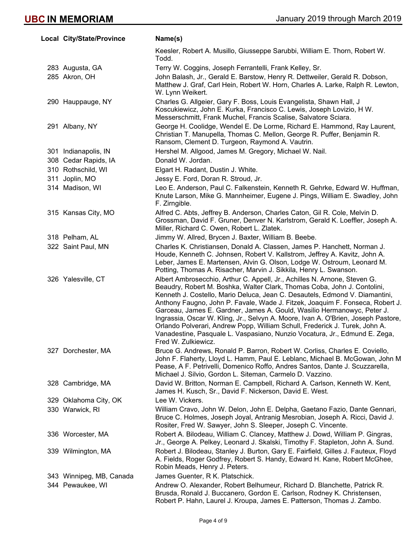| Local City/State/Province | Name(s)                                                                                                                                                                                                                                                                                                                                                                                                                                                                                                                                                                                                                                                                   |
|---------------------------|---------------------------------------------------------------------------------------------------------------------------------------------------------------------------------------------------------------------------------------------------------------------------------------------------------------------------------------------------------------------------------------------------------------------------------------------------------------------------------------------------------------------------------------------------------------------------------------------------------------------------------------------------------------------------|
|                           | Keesler, Robert A. Musillo, Giusseppe Sarubbi, William E. Thorn, Robert W.<br>Todd.                                                                                                                                                                                                                                                                                                                                                                                                                                                                                                                                                                                       |
| 283 Augusta, GA           | Terry W. Coggins, Joseph Ferrantelli, Frank Kelley, Sr.                                                                                                                                                                                                                                                                                                                                                                                                                                                                                                                                                                                                                   |
| 285 Akron, OH             | John Balash, Jr., Gerald E. Barstow, Henry R. Dettweiler, Gerald R. Dobson,<br>Matthew J. Graf, Carl Hein, Robert W. Horn, Charles A. Larke, Ralph R. Lewton,<br>W. Lynn Weikert.                                                                                                                                                                                                                                                                                                                                                                                                                                                                                         |
| 290 Hauppauge, NY         | Charles G. Allgeier, Gary F. Boss, Louis Evangelista, Shawn Hall, J<br>Koscukiewicz, John E. Kurka, Francisco C. Lewis, Joseph Lovizio, H W.<br>Messerschmitt, Frank Muchel, Francis Scalise, Salvatore Sciara.                                                                                                                                                                                                                                                                                                                                                                                                                                                           |
| 291 Albany, NY            | George H. Coolidge, Wendel E. De Lorme, Richard E. Hammond, Ray Laurent,<br>Christian T. Manupella, Thomas C. Mellon, George R. Puffer, Benjamin R.<br>Ransom, Clement D. Turgeon, Raymond A. Vautrin.                                                                                                                                                                                                                                                                                                                                                                                                                                                                    |
| 301 Indianapolis, IN      | Hershel M. Allgood, James M. Gregory, Michael W. Nail.                                                                                                                                                                                                                                                                                                                                                                                                                                                                                                                                                                                                                    |
| 308 Cedar Rapids, IA      | Donald W. Jordan.                                                                                                                                                                                                                                                                                                                                                                                                                                                                                                                                                                                                                                                         |
| 310 Rothschild, WI        | Elgart H. Radant, Dustin J. White.                                                                                                                                                                                                                                                                                                                                                                                                                                                                                                                                                                                                                                        |
| 311 Joplin, MO            | Jessy E. Ford, Doran R. Stroud, Jr.                                                                                                                                                                                                                                                                                                                                                                                                                                                                                                                                                                                                                                       |
| 314 Madison, WI           | Leo E. Anderson, Paul C. Falkenstein, Kenneth R. Gehrke, Edward W. Huffman,<br>Knute Larson, Mike G. Mannheimer, Eugene J. Pings, William E. Swadley, John<br>F. Zirngible.                                                                                                                                                                                                                                                                                                                                                                                                                                                                                               |
| 315 Kansas City, MO       | Alfred C. Abts, Jeffrey B. Anderson, Charles Caton, Gil R. Cole, Melvin D.<br>Grossman, David F. Gruner, Denver N. Karlstrom, Gerald K. Loeffler, Joseph A.<br>Miller, Richard C. Owen, Robert L. Zlatek.                                                                                                                                                                                                                                                                                                                                                                                                                                                                 |
| 318 Pelham, AL            | Jimmy W. Allred, Brycen J. Baxter, William B. Beebe.                                                                                                                                                                                                                                                                                                                                                                                                                                                                                                                                                                                                                      |
| 322 Saint Paul, MN        | Charles K. Christiansen, Donald A. Classen, James P. Hanchett, Norman J.<br>Houde, Kenneth C. Johnsen, Robert V. Kallstrom, Jeffrey A. Kavitz, John A.<br>Leber, James E. Martensen, Alvin G. Olson, Lodge W. Ostroum, Leonard M.<br>Potting, Thomas A. Risacher, Marvin J. Sikkila, Henry L. Swanson.                                                                                                                                                                                                                                                                                                                                                                    |
| 326 Yalesville, CT        | Albert Ambrosecchio, Arthur C. Appell, Jr., Achilles N. Arnone, Steven G.<br>Beaudry, Robert M. Boshka, Walter Clark, Thomas Coba, John J. Contolini,<br>Kenneth J. Costello, Mario Deluca, Jean C. Desautels, Edmond V. Diamantini,<br>Anthony Faugno, John P. Favale, Wade J. Fitzek, Joaquim F. Fonseca, Robert J.<br>Garceau, James E. Gardner, James A. Gould, Wasilio Hermanowyc, Peter J.<br>Ingrassia, Oscar W. Kling, Jr., Selvyn A. Moore, Ivan A. O'Brien, Joseph Pastore,<br>Orlando Polverari, Andrew Popp, William Schull, Frederick J. Turek, John A.<br>Vanadestine, Pasquale L. Vaspasiano, Nunzio Vocatura, Jr., Edmund E. Zega,<br>Fred W. Zulkiewicz. |
| 327 Dorchester, MA        | Bruce G. Andrews, Ronald P. Barron, Robert W. Corliss, Charles E. Coviello,<br>John F. Flaherty, Lloyd L. Hamm, Paul E. Leblanc, Michael B. McGowan, John M<br>Pease, A F. Petrivelli, Domenico Roffo, Andres Santos, Dante J. Scuzzarella,<br>Michael J. Silvio, Gordon L. Siteman, Carmelo D. Vazzino.                                                                                                                                                                                                                                                                                                                                                                  |
| 328 Cambridge, MA         | David W. Britton, Norman E. Campbell, Richard A. Carlson, Kenneth W. Kent,<br>James H. Kusch, Sr., David F. Nickerson, David E. West.                                                                                                                                                                                                                                                                                                                                                                                                                                                                                                                                     |
| 329 Oklahoma City, OK     | Lee W. Vickers.                                                                                                                                                                                                                                                                                                                                                                                                                                                                                                                                                                                                                                                           |
| 330 Warwick, RI           | William Cravo, John W. Delon, John E. Delpha, Gaetano Fazio, Dante Gennari,<br>Bruce C. Holmes, Joseph Joyal, Antranig Mesrobian, Joseph A. Ricci, David J.<br>Rositer, Fred W. Sawyer, John S. Sleeper, Joseph C. Vincente.                                                                                                                                                                                                                                                                                                                                                                                                                                              |
| 336 Worcester, MA         | Robert A. Bilodeau, William C. Clancey, Matthew J. Dowd, William P. Gingras,<br>Jr., George A. Pelkey, Leonard J. Skalski, Timothy F. Stapleton, John A. Sund.                                                                                                                                                                                                                                                                                                                                                                                                                                                                                                            |
| 339 Wilmington, MA        | Robert J. Bilodeau, Stanley J. Burton, Gary E. Fairfield, Gilles J. Fauteux, Floyd<br>A. Fields, Roger Godfrey, Robert S. Handy, Edward H. Kane, Robert McGhee,<br>Robin Meads, Henry J. Peters.                                                                                                                                                                                                                                                                                                                                                                                                                                                                          |
| 343 Winnipeg, MB, Canada  | James Guenter, R K. Platschick.                                                                                                                                                                                                                                                                                                                                                                                                                                                                                                                                                                                                                                           |
| 344 Pewaukee, WI          | Andrew O. Alexander, Robert Belhumeur, Richard D. Blanchette, Patrick R.<br>Brusda, Ronald J. Buccanero, Gordon E. Carlson, Rodney K. Christensen,<br>Robert P. Hahn, Laurel J. Kroupa, James E. Patterson, Thomas J. Zambo.                                                                                                                                                                                                                                                                                                                                                                                                                                              |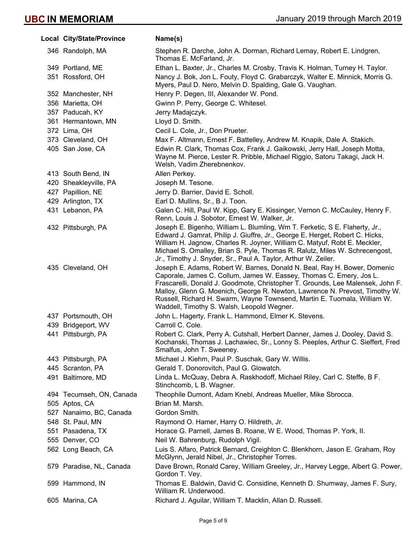| Local City/State/Province | Name(s)                                                                                                                                                                                                                                                                                                                                                                                                                                    |
|---------------------------|--------------------------------------------------------------------------------------------------------------------------------------------------------------------------------------------------------------------------------------------------------------------------------------------------------------------------------------------------------------------------------------------------------------------------------------------|
| 346 Randolph, MA          | Stephen R. Darche, John A. Dorman, Richard Lemay, Robert E. Lindgren,<br>Thomas E. McFarland, Jr.                                                                                                                                                                                                                                                                                                                                          |
| 349 Portland, ME          | Ethan L. Baxter, Jr., Charles M. Crosby, Travis K. Holman, Turney H. Taylor.                                                                                                                                                                                                                                                                                                                                                               |
| 351 Rossford, OH          | Nancy J. Bok, Jon L. Fouty, Floyd C. Grabarczyk, Walter E. Minnick, Morris G.<br>Myers, Paul D. Nero, Melvin D. Spalding, Gale G. Vaughan.                                                                                                                                                                                                                                                                                                 |
| 352 Manchester, NH        | Henry P. Degen, III, Alexander W. Pond.                                                                                                                                                                                                                                                                                                                                                                                                    |
| 356 Marietta, OH          | Gwinn P. Perry, George C. Whitesel.                                                                                                                                                                                                                                                                                                                                                                                                        |
| 357 Paducah, KY           | Jerry Madajczyk.                                                                                                                                                                                                                                                                                                                                                                                                                           |
| 361 Hermantown, MN        | Lloyd D. Smith.                                                                                                                                                                                                                                                                                                                                                                                                                            |
| 372 Lima, OH              | Cecil L. Cole, Jr., Don Prueter.                                                                                                                                                                                                                                                                                                                                                                                                           |
| 373 Cleveland, OH         | Max F. Altmann, Ernest F. Battelley, Andrew M. Knapik, Dale A. Stakich.                                                                                                                                                                                                                                                                                                                                                                    |
| 405 San Jose, CA          | Edwin R. Clark, Thomas Cox, Frank J. Gaikowski, Jerry Hall, Joseph Motta,<br>Wayne M. Pierce, Lester R. Pribble, Michael Riggio, Satoru Takagi, Jack H.<br>Welsh, Vadim Zherebnenkov.                                                                                                                                                                                                                                                      |
| 413 South Bend, IN        | Allen Perkey.                                                                                                                                                                                                                                                                                                                                                                                                                              |
| 420 Sheakleyville, PA     | Joseph M. Tesone.                                                                                                                                                                                                                                                                                                                                                                                                                          |
| 427 Papillion, NE         | Jerry D. Barrier, David E. Scholl.                                                                                                                                                                                                                                                                                                                                                                                                         |
| 429 Arlington, TX         | Earl D. Mullins, Sr., B J. Toon.                                                                                                                                                                                                                                                                                                                                                                                                           |
| 431 Lebanon, PA           | Galen C. Hill, Paul W. Kipp, Gary E. Kissinger, Vernon C. McCauley, Henry F.<br>Renn, Louis J. Sobotor, Ernest W. Walker, Jr.                                                                                                                                                                                                                                                                                                              |
| 432 Pittsburgh, PA        | Joseph E. Bigenho, William L. Blumling, Wm T. Ferketic, S E. Flaherty, Jr.,<br>Edward J. Gamrat, Philip J. Giuffre, Jr., George E. Herget, Robert C. Hicks,<br>William H. Jagnow, Charles R. Joyner, William C. Matyuf, Robt E. Meckler,<br>Michael S. Omalley, Brian S. Pyle, Thomas R. Ralutz, Miles W. Schrecengost,<br>Jr., Timothy J. Snyder, Sr., Paul A. Taylor, Arthur W. Zeiler.                                                  |
| 435 Cleveland, OH         | Joseph E. Adams, Robert W. Barnes, Donald N. Beal, Ray H. Bower, Domenic<br>Caporale, James C. Collum, James W. Eassey, Thomas C. Emery, Jos L.<br>Frascarelli, Donald J. Goodmote, Christopher T. Grounds, Lee Malensek, John F.<br>Malloy, Glenn G. Moenich, George R. Newton, Lawrence N. Prevost, Timothy W.<br>Russell, Richard H. Swarm, Wayne Townsend, Martin E. Tuomala, William W.<br>Waddell, Timothy S. Walsh, Leopold Wegner. |
| 437 Portsmouth, OH        | John L. Hagerty, Frank L. Hammond, Elmer K. Stevens.                                                                                                                                                                                                                                                                                                                                                                                       |
| 439 Bridgeport, WV        | Carroll C. Cole.                                                                                                                                                                                                                                                                                                                                                                                                                           |
| 441 Pittsburgh, PA        | Robert C. Clark, Perry A. Cutshall, Herbert Danner, James J. Dooley, David S.<br>Kochanski, Thomas J. Lachawiec, Sr., Lonny S. Peeples, Arthur C. Sieffert, Fred<br>Smalfus, John T. Sweeney.                                                                                                                                                                                                                                              |
| 443 Pittsburgh, PA        | Michael J. Kiehm, Paul P. Suschak, Gary W. Willis.                                                                                                                                                                                                                                                                                                                                                                                         |
| 445 Scranton, PA          | Gerald T. Donorovitch, Paul G. Glowatch.                                                                                                                                                                                                                                                                                                                                                                                                   |
| 491 Baltimore, MD         | Linda L. McQuay, Debra A. Raskhodoff, Michael Riley, Carl C. Steffe, B F.<br>Stinchcomb, L B. Wagner.                                                                                                                                                                                                                                                                                                                                      |
| 494 Tecumseh, ON, Canada  | Theophile Dumont, Adam Knebl, Andreas Mueller, Mike Sbrocca.                                                                                                                                                                                                                                                                                                                                                                               |
| 505 Aptos, CA             | Brian M. Marsh.                                                                                                                                                                                                                                                                                                                                                                                                                            |
| 527 Nanaimo, BC, Canada   | Gordon Smith.                                                                                                                                                                                                                                                                                                                                                                                                                              |
| 548 St. Paul, MN          | Raymond O. Hamer, Harry O. Hildreth, Jr.                                                                                                                                                                                                                                                                                                                                                                                                   |
| 551 Pasadena, TX          | Horace G. Parnell, James B. Roane, W E. Wood, Thomas P. York, II.                                                                                                                                                                                                                                                                                                                                                                          |
| 555 Denver, CO            | Neil W. Bahrenburg, Rudolph Vigil.                                                                                                                                                                                                                                                                                                                                                                                                         |
| 562 Long Beach, CA        | Luis S. Alfaro, Patrick Bernard, Creighton C. Blenkhorn, Jason E. Graham, Roy<br>McGlynn, Jerald Nibel, Jr., Christopher Torres.                                                                                                                                                                                                                                                                                                           |
| 579 Paradise, NL, Canada  | Dave Brown, Ronald Carey, William Greeley, Jr., Harvey Legge, Albert G. Power,<br>Gordon T. Vey.                                                                                                                                                                                                                                                                                                                                           |
| 599 Hammond, IN           | Thomas E. Baldwin, David C. Considine, Kenneth D. Shumway, James F. Sury,<br>William R. Underwood.                                                                                                                                                                                                                                                                                                                                         |
| 605 Marina, CA            | Richard J. Aguilar, William T. Macklin, Allan D. Russell.                                                                                                                                                                                                                                                                                                                                                                                  |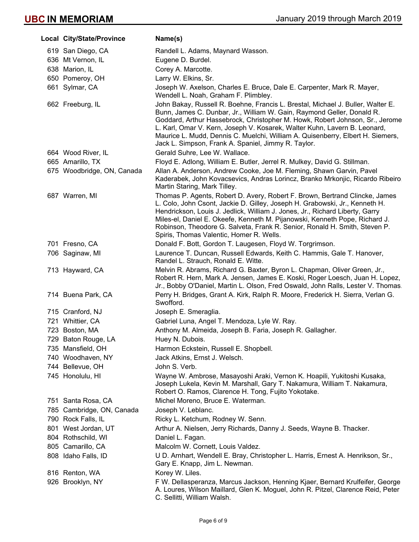| Local City/State/Province  | Name(s)                                                                                                                                                                                                                                                                                                                                                                                                                                                         |
|----------------------------|-----------------------------------------------------------------------------------------------------------------------------------------------------------------------------------------------------------------------------------------------------------------------------------------------------------------------------------------------------------------------------------------------------------------------------------------------------------------|
| 619 San Diego, CA          | Randell L. Adams, Maynard Wasson.                                                                                                                                                                                                                                                                                                                                                                                                                               |
| 636 Mt Vernon, IL          | Eugene D. Burdel.                                                                                                                                                                                                                                                                                                                                                                                                                                               |
| 638 Marion, IL             | Corey A. Marcotte.                                                                                                                                                                                                                                                                                                                                                                                                                                              |
| 650 Pomeroy, OH            | Larry W. Elkins, Sr.                                                                                                                                                                                                                                                                                                                                                                                                                                            |
| 661 Sylmar, CA             | Joseph W. Axelson, Charles E. Bruce, Dale E. Carpenter, Mark R. Mayer,<br>Wendell L. Noah, Graham F. Plimbley.                                                                                                                                                                                                                                                                                                                                                  |
| 662 Freeburg, IL           | John Bakay, Russell R. Boehne, Francis L. Brestal, Michael J. Buller, Walter E.<br>Bunn, James C. Dunbar, Jr., William W. Gain, Raymond Geller, Donald R.<br>Goddard, Arthur Hassebrock, Christopher M. Howk, Robert Johnson, Sr., Jerome<br>L. Karl, Omar V. Kern, Joseph V. Kosarek, Walter Kuhn, Lavern B. Leonard,<br>Maurice L. Mudd, Dennis C. Muelchi, William A. Quisenberry, Elbert H. Siemers,<br>Jack L. Simpson, Frank A. Spaniel, Jimmy R. Taylor. |
| 664 Wood River, IL         | Gerald Suhre, Lee W. Wallace.                                                                                                                                                                                                                                                                                                                                                                                                                                   |
| 665 Amarillo, TX           | Floyd E. Adlong, William E. Butler, Jerrel R. Mulkey, David G. Stillman.                                                                                                                                                                                                                                                                                                                                                                                        |
| 675 Woodbridge, ON, Canada | Allan A. Anderson, Andrew Cooke, Joe M. Fleming, Shawn Garvin, Pavel<br>Kaderabek, John Kovacsevics, Andras Lorincz, Branko Mrkonjic, Ricardo Ribeiro,<br>Martin Staring, Mark Tilley.                                                                                                                                                                                                                                                                          |
| 687 Warren, MI             | Thomas P. Agents, Robert D. Avery, Robert F. Brown, Bertrand Clincke, James<br>L. Colo, John Csont, Jackie D. Gilley, Joseph H. Grabowski, Jr., Kenneth H.<br>Hendrickson, Louis J. Jedlick, William J. Jones, Jr., Richard Liberty, Garry<br>Miles-el, Daniel E. Okeefe, Kenneth M. Pijanowski, Kenneth Pope, Richard J.<br>Robinson, Theodore G. Salveta, Frank R. Senior, Ronald H. Smith, Steven P.<br>Spiris, Thomas Valentic, Homer R. Wells.             |
| 701 Fresno, CA             | Donald F. Bott, Gordon T. Laugesen, Floyd W. Torgrimson.                                                                                                                                                                                                                                                                                                                                                                                                        |
| 706 Saginaw, MI            | Laurence T. Duncan, Russell Edwards, Keith C. Hammis, Gale T. Hanover,<br>Randel L. Strauch, Ronald E. Witte.                                                                                                                                                                                                                                                                                                                                                   |
| 713 Hayward, CA            | Melvin R. Abrams, Richard G. Baxter, Byron L. Chapman, Oliver Green, Jr.,<br>Robert R. Hern, Mark A. Jensen, James E. Koski, Roger Loesch, Juan H. Lopez,<br>Jr., Bobby O'Daniel, Martin L. Olson, Fred Oswald, John Ralls, Lester V. Thomas.                                                                                                                                                                                                                   |
| 714 Buena Park, CA         | Perry H. Bridges, Grant A. Kirk, Ralph R. Moore, Frederick H. Sierra, Verlan G.<br>Swofford.                                                                                                                                                                                                                                                                                                                                                                    |
| 715 Cranford, NJ           | Joseph E. Smeraglia.                                                                                                                                                                                                                                                                                                                                                                                                                                            |
| 721 Whittier, CA           | Gabriel Luna, Angel T. Mendoza, Lyle W. Ray.                                                                                                                                                                                                                                                                                                                                                                                                                    |
| 723 Boston, MA             | Anthony M. Almeida, Joseph B. Faria, Joseph R. Gallagher.                                                                                                                                                                                                                                                                                                                                                                                                       |
| 729 Baton Rouge, LA        | Huey N. Dubois.                                                                                                                                                                                                                                                                                                                                                                                                                                                 |
| 735 Mansfield, OH          | Harmon Eckstein, Russell E. Shopbell.                                                                                                                                                                                                                                                                                                                                                                                                                           |
| 740 Woodhaven, NY          | Jack Atkins, Ernst J. Welsch.                                                                                                                                                                                                                                                                                                                                                                                                                                   |
| 744 Bellevue, OH           | John S. Verb.                                                                                                                                                                                                                                                                                                                                                                                                                                                   |
| 745 Honolulu, HI           | Wayne W. Ambrose, Masayoshi Araki, Vernon K. Hoapili, Yukitoshi Kusaka,<br>Joseph Lukela, Kevin M. Marshall, Gary T. Nakamura, William T. Nakamura,<br>Robert O. Ramos, Clarence H. Tong, Fujito Yokotake.                                                                                                                                                                                                                                                      |
| 751 Santa Rosa, CA         | Michel Moreno, Bruce E. Waterman.                                                                                                                                                                                                                                                                                                                                                                                                                               |
| 785 Cambridge, ON, Canada  | Joseph V. Leblanc.                                                                                                                                                                                                                                                                                                                                                                                                                                              |
| 790 Rock Falls, IL         | Ricky L. Ketchum, Rodney W. Senn.                                                                                                                                                                                                                                                                                                                                                                                                                               |
| 801 West Jordan, UT        | Arthur A. Nielsen, Jerry Richards, Danny J. Seeds, Wayne B. Thacker.                                                                                                                                                                                                                                                                                                                                                                                            |
| 804 Rothschild, WI         | Daniel L. Fagan.                                                                                                                                                                                                                                                                                                                                                                                                                                                |
| 805 Camarillo, CA          | Malcolm W. Cornett, Louis Valdez.                                                                                                                                                                                                                                                                                                                                                                                                                               |
| 808 Idaho Falls, ID        | U D. Arnhart, Wendell E. Bray, Christopher L. Harris, Ernest A. Henrikson, Sr.,<br>Gary E. Knapp, Jim L. Newman.                                                                                                                                                                                                                                                                                                                                                |
| 816 Renton, WA             | Korey W. Liles.                                                                                                                                                                                                                                                                                                                                                                                                                                                 |
| 926 Brooklyn, NY           | F W. Dellasperanza, Marcus Jackson, Henning Kjaer, Bernard Krulfeifer, George                                                                                                                                                                                                                                                                                                                                                                                   |
|                            | A. Loures, Wilson Maillard, Glen K. Moguel, John R. Pitzel, Clarence Reid, Peter<br>C. Sellitti, William Walsh.                                                                                                                                                                                                                                                                                                                                                 |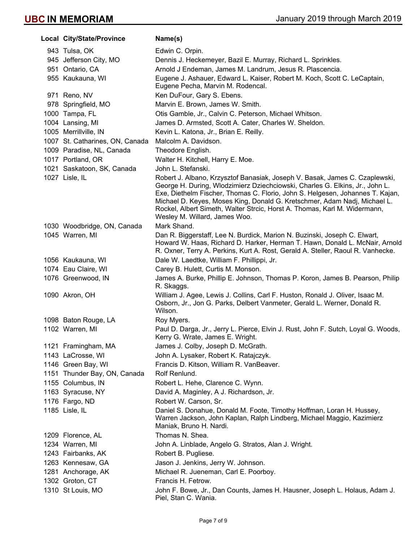| Local City/State/Province       | Name(s)                                                                                                                                                                                                                                                                                                                                                                                                                                 |
|---------------------------------|-----------------------------------------------------------------------------------------------------------------------------------------------------------------------------------------------------------------------------------------------------------------------------------------------------------------------------------------------------------------------------------------------------------------------------------------|
| 943 Tulsa, OK                   | Edwin C. Orpin.                                                                                                                                                                                                                                                                                                                                                                                                                         |
| 945 Jefferson City, MO          | Dennis J. Heckemeyer, Bazil E. Murray, Richard L. Sprinkles.                                                                                                                                                                                                                                                                                                                                                                            |
| 951 Ontario, CA                 | Arnold J Endeman, James M. Landrum, Jesus R. Plascencia.                                                                                                                                                                                                                                                                                                                                                                                |
| 955 Kaukauna, WI                | Eugene J. Ashauer, Edward L. Kaiser, Robert M. Koch, Scott C. LeCaptain,<br>Eugene Pecha, Marvin M. Rodencal.                                                                                                                                                                                                                                                                                                                           |
| 971 Reno, NV                    | Ken DuFour, Gary S. Ebens.                                                                                                                                                                                                                                                                                                                                                                                                              |
| 978 Springfield, MO             | Marvin E. Brown, James W. Smith.                                                                                                                                                                                                                                                                                                                                                                                                        |
| 1000 Tampa, FL                  | Otis Gamble, Jr., Calvin C. Peterson, Michael Whitson.                                                                                                                                                                                                                                                                                                                                                                                  |
| 1004 Lansing, MI                | James D. Armsted, Scott A. Cater, Charles W. Sheldon.                                                                                                                                                                                                                                                                                                                                                                                   |
| 1005 Merrillville, IN           | Kevin L. Katona, Jr., Brian E. Reilly.                                                                                                                                                                                                                                                                                                                                                                                                  |
| 1007 St. Catharines, ON, Canada | Malcolm A. Davidson.                                                                                                                                                                                                                                                                                                                                                                                                                    |
| 1009 Paradise, NL, Canada       | Theodore English.                                                                                                                                                                                                                                                                                                                                                                                                                       |
| 1017 Portland, OR               | Walter H. Kitchell, Harry E. Moe.                                                                                                                                                                                                                                                                                                                                                                                                       |
| 1021 Saskatoon, SK, Canada      | John L. Stefanski.                                                                                                                                                                                                                                                                                                                                                                                                                      |
| 1027 Lisle, IL                  | Robert J. Albano, Krzysztof Banasiak, Joseph V. Basak, James C. Czaplewski,<br>George H. During, Wlodzimierz Dziechciowski, Charles G. Elkins, Jr., John L.<br>Exe, Diethelm Fischer, Thomas C. Florio, John S. Helgesen, Johannes T. Kajan,<br>Michael D. Keyes, Moses King, Donald G. Kretschmer, Adam Nadj, Michael L.<br>Rockel, Albert Simeth, Walter Strcic, Horst A. Thomas, Karl M. Widermann,<br>Wesley M. Willard, James Woo. |
| 1030 Woodbridge, ON, Canada     | Mark Shand.                                                                                                                                                                                                                                                                                                                                                                                                                             |
| 1045 Warren, MI                 | Dan R. Biggerstaff, Lee N. Burdick, Marion N. Buzinski, Joseph C. Elwart,<br>Howard W. Haas, Richard D. Harker, Herman T. Hawn, Donald L. McNair, Arnold<br>R. Oxner, Terry A. Perkins, Kurt A. Rost, Gerald A. Steller, Raoul R. Vanhecke.                                                                                                                                                                                             |
| 1056 Kaukauna, WI               | Dale W. Laedtke, William F. Phillippi, Jr.                                                                                                                                                                                                                                                                                                                                                                                              |
| 1074 Eau Claire, WI             | Carey B. Hulett, Curtis M. Monson.                                                                                                                                                                                                                                                                                                                                                                                                      |
| 1076 Greenwood, IN              | James A. Burke, Phillip E. Johnson, Thomas P. Koron, James B. Pearson, Philip<br>R. Skaggs.                                                                                                                                                                                                                                                                                                                                             |
| 1090 Akron, OH                  | William J. Agee, Lewis J. Collins, Carl F. Huston, Ronald J. Oliver, Isaac M.<br>Osborn, Jr., Jon G. Parks, Delbert Vanmeter, Gerald L. Werner, Donald R.<br>Wilson.                                                                                                                                                                                                                                                                    |
| 1098 Baton Rouge, LA            | Roy Myers.                                                                                                                                                                                                                                                                                                                                                                                                                              |
| 1102 Warren, MI                 | Paul D. Darga, Jr., Jerry L. Pierce, Elvin J. Rust, John F. Sutch, Loyal G. Woods,<br>Kerry G. Wrate, James E. Wright.                                                                                                                                                                                                                                                                                                                  |
| 1121 Framingham, MA             | James J. Colby, Joseph D. McGrath.                                                                                                                                                                                                                                                                                                                                                                                                      |
| 1143 LaCrosse, WI               | John A. Lysaker, Robert K. Ratajczyk.                                                                                                                                                                                                                                                                                                                                                                                                   |
| 1146 Green Bay, WI              | Francis D. Kitson, William R. VanBeaver.                                                                                                                                                                                                                                                                                                                                                                                                |
| 1151 Thunder Bay, ON, Canada    | Rolf Renlund.                                                                                                                                                                                                                                                                                                                                                                                                                           |
| 1155 Columbus, IN               | Robert L. Hehe, Clarence C. Wynn.                                                                                                                                                                                                                                                                                                                                                                                                       |
| 1163 Syracuse, NY               | David A. Maginley, A J. Richardson, Jr.                                                                                                                                                                                                                                                                                                                                                                                                 |
| 1176 Fargo, ND                  | Robert W. Carson, Sr.                                                                                                                                                                                                                                                                                                                                                                                                                   |
| 1185 Lisle, IL                  | Daniel S. Donahue, Donald M. Foote, Timothy Hoffman, Loran H. Hussey,<br>Warren Jackson, John Kaplan, Ralph Lindberg, Michael Maggio, Kazimierz<br>Maniak, Bruno H. Nardi.                                                                                                                                                                                                                                                              |
| 1209 Florence, AL               | Thomas N. Shea.                                                                                                                                                                                                                                                                                                                                                                                                                         |
| 1234 Warren, MI                 | John A. Linblade, Angelo G. Stratos, Alan J. Wright.                                                                                                                                                                                                                                                                                                                                                                                    |
| 1243 Fairbanks, AK              | Robert B. Pugliese.                                                                                                                                                                                                                                                                                                                                                                                                                     |
| 1263 Kennesaw, GA               | Jason J. Jenkins, Jerry W. Johnson.                                                                                                                                                                                                                                                                                                                                                                                                     |
| 1281 Anchorage, AK              | Michael R. Jueneman, Carl E. Poorboy.                                                                                                                                                                                                                                                                                                                                                                                                   |
| 1302 Groton, CT                 | Francis H. Fetrow.                                                                                                                                                                                                                                                                                                                                                                                                                      |
| 1310 St Louis, MO               | John F. Bowe, Jr., Dan Counts, James H. Hausner, Joseph L. Holaus, Adam J.<br>Piel, Stan C. Wania.                                                                                                                                                                                                                                                                                                                                      |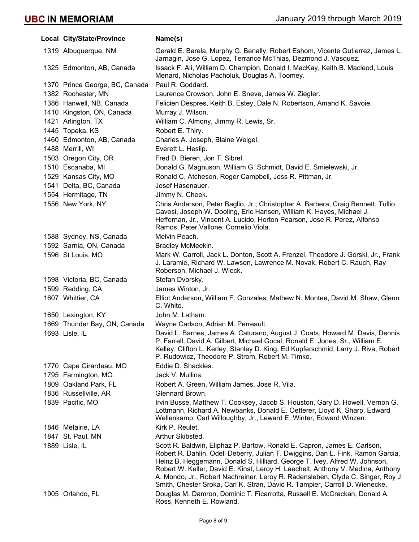| Local City/State/Province      | Name(s)                                                                                                                                                                                                                                                                                                                                                                                                                                                                                        |
|--------------------------------|------------------------------------------------------------------------------------------------------------------------------------------------------------------------------------------------------------------------------------------------------------------------------------------------------------------------------------------------------------------------------------------------------------------------------------------------------------------------------------------------|
| 1319 Albuquerque, NM           | Gerald E. Barela, Murphy G. Benally, Robert Eshom, Vicente Gutierrez, James L.<br>Jarnagin, Jose G. Lopez, Terrance McThias, Dezmond J. Vasquez.                                                                                                                                                                                                                                                                                                                                               |
| 1325 Edmonton, AB, Canada      | Issack F. Ali, William D. Champion, Donald I. MacKay, Keith B. Macleod, Louis<br>Menard, Nicholas Pacholuk, Douglas A. Toomey.                                                                                                                                                                                                                                                                                                                                                                 |
| 1370 Prince George, BC, Canada | Paul R. Goddard.                                                                                                                                                                                                                                                                                                                                                                                                                                                                               |
| 1382 Rochester, MN             | Laurence Crowson, John E. Sneve, James W. Ziegler.                                                                                                                                                                                                                                                                                                                                                                                                                                             |
| 1386 Hanwell, NB, Canada       | Felicien Despres, Keith B. Estey, Dale N. Robertson, Amand K. Savoie.                                                                                                                                                                                                                                                                                                                                                                                                                          |
| 1410 Kingston, ON, Canada      | Murray J. Wilson.                                                                                                                                                                                                                                                                                                                                                                                                                                                                              |
| 1421 Arlington, TX             | William C. Almony, Jimmy R. Lewis, Sr.                                                                                                                                                                                                                                                                                                                                                                                                                                                         |
| 1445 Topeka, KS                | Robert E. Thiry.                                                                                                                                                                                                                                                                                                                                                                                                                                                                               |
| 1460 Edmonton, AB, Canada      | Charles A. Joseph, Blaine Weigel.                                                                                                                                                                                                                                                                                                                                                                                                                                                              |
| 1488 Merrill, WI               | Everett L. Heslip.                                                                                                                                                                                                                                                                                                                                                                                                                                                                             |
| 1503 Oregon City, OR           | Fred D. Bieren, Jon T. Sibrel.                                                                                                                                                                                                                                                                                                                                                                                                                                                                 |
| 1510 Escanaba, MI              | Donald G. Magnuson, William G. Schmidt, David E. Smielewski, Jr.                                                                                                                                                                                                                                                                                                                                                                                                                               |
| 1529 Kansas City, MO           | Ronald C. Atcheson, Roger Campbell, Jess R. Pittman, Jr.                                                                                                                                                                                                                                                                                                                                                                                                                                       |
| 1541 Delta, BC, Canada         | Josef Hasenauer.                                                                                                                                                                                                                                                                                                                                                                                                                                                                               |
| 1554 Hermitage, TN             | Jimmy N. Cheek.                                                                                                                                                                                                                                                                                                                                                                                                                                                                                |
| 1556 New York, NY              | Chris Anderson, Peter Baglio, Jr., Christopher A. Barbera, Craig Bennett, Tullio<br>Cavosi, Joseph W. Dooling, Eric Hansen, William K. Hayes, Michael J.<br>Heffernan, Jr., Vincent A. Lucido, Horton Pearson, Jose R. Perez, Alfonso<br>Ramos, Peter Vallone, Cornelio Viola.                                                                                                                                                                                                                 |
| 1588 Sydney, NS, Canada        | Melvin Peach.                                                                                                                                                                                                                                                                                                                                                                                                                                                                                  |
| 1592 Sarnia, ON, Canada        | Bradley McMeekin.                                                                                                                                                                                                                                                                                                                                                                                                                                                                              |
| 1596 St Louis, MO              | Mark W. Carroll, Jack L. Donton, Scott A. Frenzel, Theodore J. Gorski, Jr., Frank<br>J. Laramie, Richard W. Lawson, Lawrence M. Novak, Robert C. Rauch, Ray<br>Roberson, Michael J. Wieck.                                                                                                                                                                                                                                                                                                     |
| 1598 Victoria, BC, Canada      | Stefan Dvorsky.                                                                                                                                                                                                                                                                                                                                                                                                                                                                                |
| 1599 Redding, CA               | James Winton, Jr.                                                                                                                                                                                                                                                                                                                                                                                                                                                                              |
| 1607 Whittier, CA              | Elliot Anderson, William F. Gonzales, Mathew N. Montee, David M. Shaw, Glenn<br>C. White.                                                                                                                                                                                                                                                                                                                                                                                                      |
| 1650 Lexington, KY             | John M. Latham.                                                                                                                                                                                                                                                                                                                                                                                                                                                                                |
| 1669 Thunder Bay, ON, Canada   | Wayne Carlson, Adrian M. Perreault.                                                                                                                                                                                                                                                                                                                                                                                                                                                            |
| 1693 Lisle, IL                 | David L. Barnes, James A. Caturano, August J. Coats, Howard M. Davis, Dennis<br>P. Farrell, David A. Gilbert, Michael Gocal, Ronald E. Jones, Sr., William E.<br>Kelley, Clifton L. Kerley, Stanley D. King, Ed Kupferschmid, Larry J. Riva, Robert<br>P. Rudowicz, Theodore P. Strom, Robert M. Timko.                                                                                                                                                                                        |
| 1770 Cape Girardeau, MO        | Eddie D. Shackles.                                                                                                                                                                                                                                                                                                                                                                                                                                                                             |
| 1795 Farmington, MO            | Jack V. Mullins.                                                                                                                                                                                                                                                                                                                                                                                                                                                                               |
| 1809 Oakland Park, FL          | Robert A. Green, William James, Jose R. Vila.                                                                                                                                                                                                                                                                                                                                                                                                                                                  |
| 1836 Russellville, AR          | Glennard Brown.                                                                                                                                                                                                                                                                                                                                                                                                                                                                                |
| 1839 Pacific, MO               | Irvin Busse, Matthew T. Cooksey, Jacob S. Houston, Gary D. Howell, Vernon G.<br>Lottmann, Richard A. Newbanks, Donald E. Oetterer, Lloyd K. Sharp, Edward<br>Wellenkamp, Carl Willoughby, Jr., Leward E. Winter, Edward Winzen.                                                                                                                                                                                                                                                                |
| 1846 Metairie, LA              | Kirk P. Reulet.                                                                                                                                                                                                                                                                                                                                                                                                                                                                                |
| 1847 St. Paul, MN              | Arthur Skibsted.                                                                                                                                                                                                                                                                                                                                                                                                                                                                               |
| 1889 Lisle, IL                 | Scott R. Baldwin, Eliphaz P. Bartow, Ronald E. Capron, James E. Carlson,<br>Robert R. Dahlin, Odell Deberry, Julian T. Dwiggins, Dan L. Fink, Ramon Garcia,<br>Heinz B. Heggemann, Donald S. Hilliard, George T. Ivey, Alfred W. Johnson,<br>Robert W. Keller, David E. Kinst, Leroy H. Laechelt, Anthony V. Medina, Anthony<br>A. Mondo, Jr., Robert Nachreiner, Leroy R. Radensleben, Clyde C. Singer, Roy J.<br>Smith, Chester Sroka, Carl K. Stran, David R. Tampier, Carroll D. Wienecke. |
| 1905 Orlando, FL               | Douglas M. Damron, Dominic T. Ficarrotta, Russell E. McCrackan, Donald A.<br>Ross, Kenneth E. Rowland.                                                                                                                                                                                                                                                                                                                                                                                         |